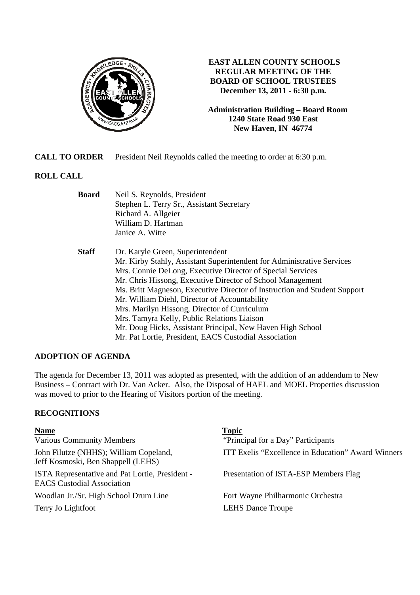

## **EAST ALLEN COUNTY SCHOOLS REGULAR MEETING OF THE BOARD OF SCHOOL TRUSTEES December 13, 2011 - 6:30 p.m.**

**Administration Building – Board Room 1240 State Road 930 East New Haven, IN 46774**

**CALL TO ORDER** President Neil Reynolds called the meeting to order at 6:30 p.m.

# **ROLL CALL**

| <b>Board</b> | Neil S. Reynolds, President                                               |  |
|--------------|---------------------------------------------------------------------------|--|
|              | Stephen L. Terry Sr., Assistant Secretary                                 |  |
|              | Richard A. Allgeier                                                       |  |
|              | William D. Hartman                                                        |  |
|              | Janice A. Witte                                                           |  |
| <b>Staff</b> | Dr. Karyle Green, Superintendent                                          |  |
|              | Mr. Kirby Stahly, Assistant Superintendent for Administrative Services    |  |
|              | Mrs. Connie DeLong, Executive Director of Special Services                |  |
|              | Mr. Chris Hissong, Executive Director of School Management                |  |
|              | Ms. Britt Magneson, Executive Director of Instruction and Student Support |  |
|              | Mr. William Diehl, Director of Accountability                             |  |
|              | Mrs. Marilyn Hissong, Director of Curriculum                              |  |
|              | Mrs. Tamyra Kelly, Public Relations Liaison                               |  |
|              | Mr. Doug Hicks, Assistant Principal, New Haven High School                |  |
|              | Mr. Pat Lortie, President, EACS Custodial Association                     |  |

## **ADOPTION OF AGENDA**

The agenda for December 13, 2011 was adopted as presented, with the addition of an addendum to New Business – Contract with Dr. Van Acker. Also, the Disposal of HAEL and MOEL Properties discussion was moved to prior to the Hearing of Visitors portion of the meeting.

## **RECOGNITIONS**

| <b>Name</b>                                                                                 | <b>Topic</b>                                       |
|---------------------------------------------------------------------------------------------|----------------------------------------------------|
| <b>Various Community Members</b>                                                            | "Principal for a Day" Participants                 |
| John Filutze (NHHS); William Copeland,<br>Jeff Kosmoski, Ben Shappell (LEHS)                | ITT Exelis "Excellence in Education" Award Winners |
| <b>ISTA Representative and Pat Lortie, President -</b><br><b>EACS Custodial Association</b> | Presentation of ISTA-ESP Members Flag              |
| Woodlan Jr./Sr. High School Drum Line                                                       | Fort Wayne Philharmonic Orchestra                  |
| Terry Jo Lightfoot                                                                          | <b>LEHS</b> Dance Troupe                           |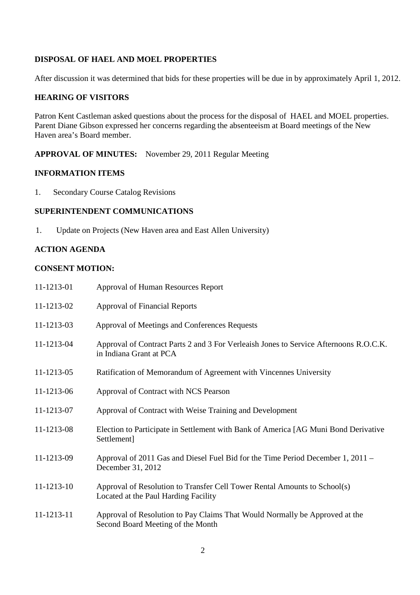## **DISPOSAL OF HAEL AND MOEL PROPERTIES**

After discussion it was determined that bids for these properties will be due in by approximately April 1, 2012.

#### **HEARING OF VISITORS**

Patron Kent Castleman asked questions about the process for the disposal of HAEL and MOEL properties. Parent Diane Gibson expressed her concerns regarding the absenteeism at Board meetings of the New Haven area's Board member.

## **APPROVAL OF MINUTES:** November 29, 2011 Regular Meeting

#### **INFORMATION ITEMS**

1. Secondary Course Catalog Revisions

#### **SUPERINTENDENT COMMUNICATIONS**

1. Update on Projects (New Haven area and East Allen University)

## **ACTION AGENDA**

#### **CONSENT MOTION:**

| 11-1213-01 | Approval of Human Resources Report                                                                                |
|------------|-------------------------------------------------------------------------------------------------------------------|
| 11-1213-02 | <b>Approval of Financial Reports</b>                                                                              |
| 11-1213-03 | Approval of Meetings and Conferences Requests                                                                     |
| 11-1213-04 | Approval of Contract Parts 2 and 3 For Verleaish Jones to Service Afternoons R.O.C.K.<br>in Indiana Grant at PCA  |
| 11-1213-05 | Ratification of Memorandum of Agreement with Vincennes University                                                 |
| 11-1213-06 | Approval of Contract with NCS Pearson                                                                             |
| 11-1213-07 | Approval of Contract with Weise Training and Development                                                          |
| 11-1213-08 | Election to Participate in Settlement with Bank of America [AG Muni Bond Derivative<br>Settlement]                |
| 11-1213-09 | Approval of 2011 Gas and Diesel Fuel Bid for the Time Period December 1, 2011 –<br>December 31, 2012              |
| 11-1213-10 | Approval of Resolution to Transfer Cell Tower Rental Amounts to School(s)<br>Located at the Paul Harding Facility |
| 11-1213-11 | Approval of Resolution to Pay Claims That Would Normally be Approved at the<br>Second Board Meeting of the Month  |